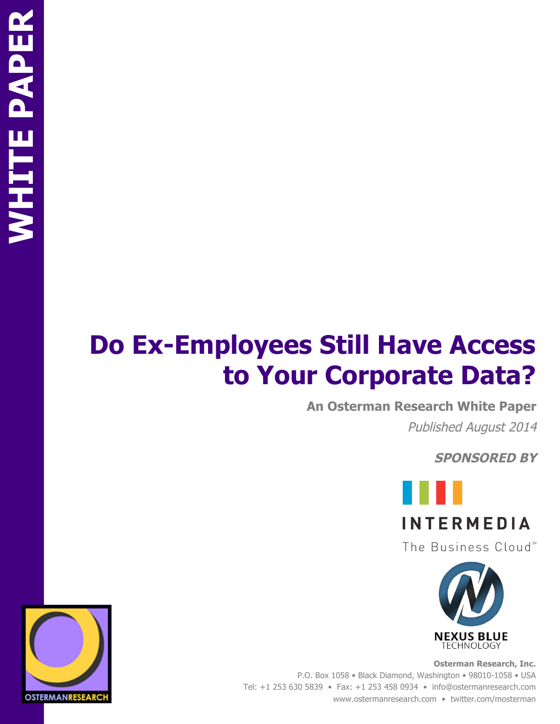# **Do Ex-Employees Still Have Access to Your Corporate Data?**

**An Osterman Research White Paper**

Published August 2014

**SPONSORED BY**



The Business Cloud<sup>™</sup>



**Osterman Research, Inc.** P.O. Box 1058 • Black Diamond, Washington • 98010-1058 • USA Tel: +1 253 630 5839 • Fax: +1 253 458 0934 • info@ostermanresearch.com www.ostermanresearch.com • twitter.com/mosterman

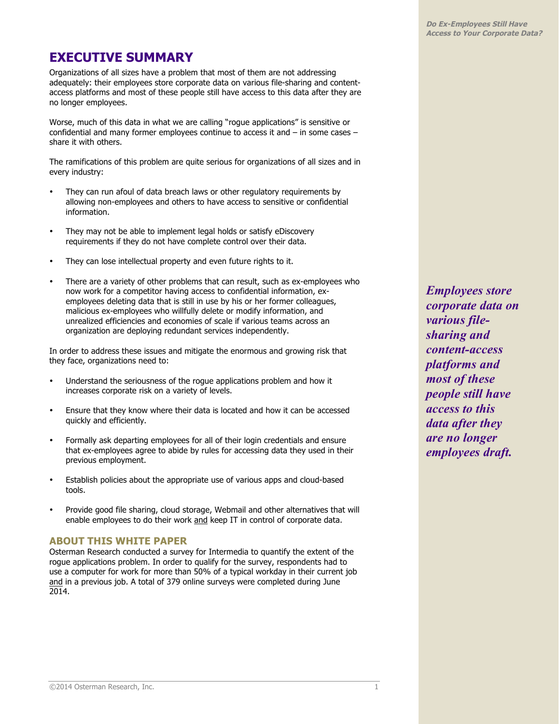# **EXECUTIVE SUMMARY**

Organizations of all sizes have a problem that most of them are not addressing adequately: their employees store corporate data on various file-sharing and contentaccess platforms and most of these people still have access to this data after they are no longer employees.

Worse, much of this data in what we are calling "rogue applications" is sensitive or confidential and many former employees continue to access it and – in some cases – share it with others.

The ramifications of this problem are quite serious for organizations of all sizes and in every industry:

- They can run afoul of data breach laws or other regulatory requirements by allowing non-employees and others to have access to sensitive or confidential information.
- They may not be able to implement legal holds or satisfy eDiscovery requirements if they do not have complete control over their data.
- They can lose intellectual property and even future rights to it.
- There are a variety of other problems that can result, such as ex-employees who now work for a competitor having access to confidential information, exemployees deleting data that is still in use by his or her former colleagues, malicious ex-employees who willfully delete or modify information, and unrealized efficiencies and economies of scale if various teams across an organization are deploying redundant services independently.

In order to address these issues and mitigate the enormous and growing risk that they face, organizations need to:

- Understand the seriousness of the rogue applications problem and how it increases corporate risk on a variety of levels.
- Ensure that they know where their data is located and how it can be accessed quickly and efficiently.
- Formally ask departing employees for all of their login credentials and ensure that ex-employees agree to abide by rules for accessing data they used in their previous employment.
- Establish policies about the appropriate use of various apps and cloud-based tools.
- Provide good file sharing, cloud storage, Webmail and other alternatives that will enable employees to do their work and keep IT in control of corporate data.

## **ABOUT THIS WHITE PAPER**

Osterman Research conducted a survey for Intermedia to quantify the extent of the rogue applications problem. In order to qualify for the survey, respondents had to use a computer for work for more than 50% of a typical workday in their current job and in a previous job. A total of 379 online surveys were completed during June 2014.

*Employees store corporate data on various filesharing and content-access platforms and most of these people still have access to this data after they are no longer employees draft.*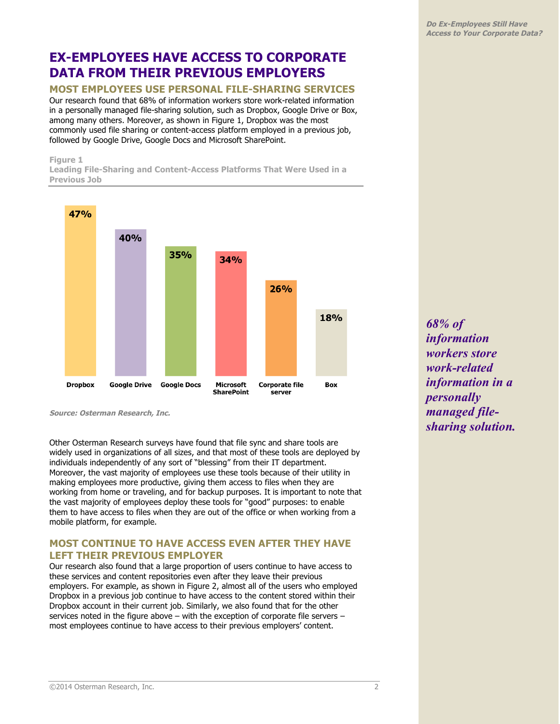# **EX-EMPLOYEES HAVE ACCESS TO CORPORATE DATA FROM THEIR PREVIOUS EMPLOYERS**

# **MOST EMPLOYEES USE PERSONAL FILE-SHARING SERVICES**

Our research found that 68% of information workers store work-related information in a personally managed file-sharing solution, such as Dropbox, Google Drive or Box, among many others. Moreover, as shown in Figure 1, Dropbox was the most commonly used file sharing or content-access platform employed in a previous job, followed by Google Drive, Google Docs and Microsoft SharePoint.

#### **Figure 1**

**Leading File-Sharing and Content-Access Platforms That Were Used in a Previous Job**



**Source: Osterman Research, Inc.**

Other Osterman Research surveys have found that file sync and share tools are widely used in organizations of all sizes, and that most of these tools are deployed by individuals independently of any sort of "blessing" from their IT department. Moreover, the vast majority of employees use these tools because of their utility in making employees more productive, giving them access to files when they are working from home or traveling, and for backup purposes. It is important to note that the vast majority of employees deploy these tools for "good" purposes: to enable them to have access to files when they are out of the office or when working from a mobile platform, for example.

## **MOST CONTINUE TO HAVE ACCESS EVEN AFTER THEY HAVE LEFT THEIR PREVIOUS EMPLOYER**

Our research also found that a large proportion of users continue to have access to these services and content repositories even after they leave their previous employers. For example, as shown in Figure 2, almost all of the users who employed Dropbox in a previous job continue to have access to the content stored within their Dropbox account in their current job. Similarly, we also found that for the other services noted in the figure above – with the exception of corporate file servers – most employees continue to have access to their previous employers' content.

*68% of information workers store work-related information in a personally managed filesharing solution.*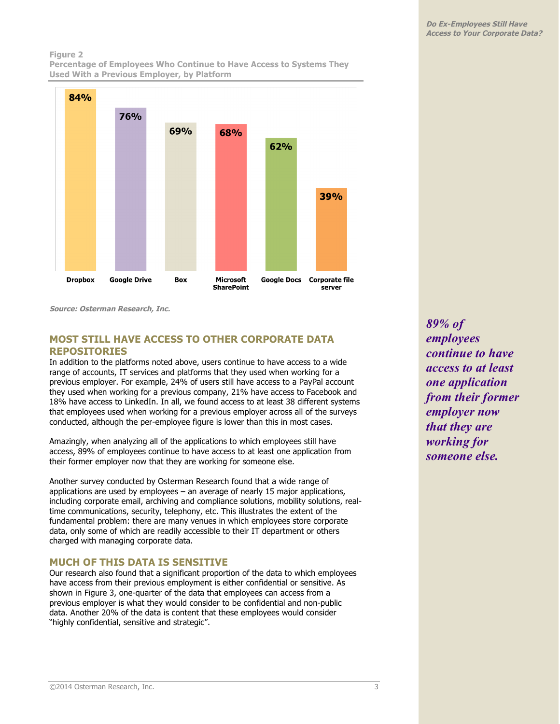## **Figure 2 Percentage of Employees Who Continue to Have Access to Systems They**



**Source: Osterman Research, Inc.**

# **MOST STILL HAVE ACCESS TO OTHER CORPORATE DATA REPOSITORIES**

In addition to the platforms noted above, users continue to have access to a wide range of accounts, IT services and platforms that they used when working for a previous employer. For example, 24% of users still have access to a PayPal account they used when working for a previous company, 21% have access to Facebook and 18% have access to LinkedIn. In all, we found access to at least 38 different systems that employees used when working for a previous employer across all of the surveys conducted, although the per-employee figure is lower than this in most cases.

Amazingly, when analyzing all of the applications to which employees still have access, 89% of employees continue to have access to at least one application from their former employer now that they are working for someone else.

Another survey conducted by Osterman Research found that a wide range of applications are used by employees – an average of nearly 15 major applications, including corporate email, archiving and compliance solutions, mobility solutions, realtime communications, security, telephony, etc. This illustrates the extent of the fundamental problem: there are many venues in which employees store corporate data, only some of which are readily accessible to their IT department or others charged with managing corporate data.

## **MUCH OF THIS DATA IS SENSITIVE**

Our research also found that a significant proportion of the data to which employees have access from their previous employment is either confidential or sensitive. As shown in Figure 3, one-quarter of the data that employees can access from a previous employer is what they would consider to be confidential and non-public data. Another 20% of the data is content that these employees would consider "highly confidential, sensitive and strategic".

*89% of employees continue to have access to at least one application from their former employer now that they are working for someone else.*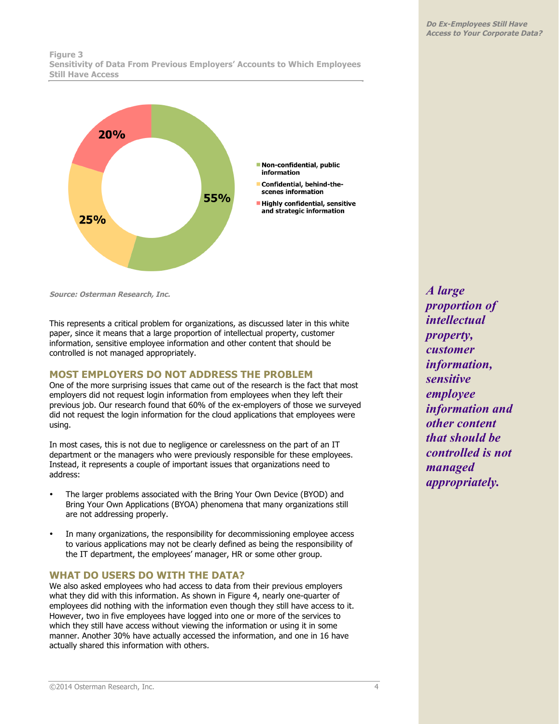#### **Figure 3 Sensitivity of Data From Previous Employers' Accounts to Which Employees Still Have Access**



**Source: Osterman Research, Inc.**

This represents a critical problem for organizations, as discussed later in this white paper, since it means that a large proportion of intellectual property, customer information, sensitive employee information and other content that should be controlled is not managed appropriately.

### **MOST EMPLOYERS DO NOT ADDRESS THE PROBLEM**

One of the more surprising issues that came out of the research is the fact that most employers did not request login information from employees when they left their previous job. Our research found that 60% of the ex-employers of those we surveyed did not request the login information for the cloud applications that employees were using.

In most cases, this is not due to negligence or carelessness on the part of an IT department or the managers who were previously responsible for these employees. Instead, it represents a couple of important issues that organizations need to address:

- The larger problems associated with the Bring Your Own Device (BYOD) and Bring Your Own Applications (BYOA) phenomena that many organizations still are not addressing properly.
- In many organizations, the responsibility for decommissioning employee access to various applications may not be clearly defined as being the responsibility of the IT department, the employees' manager, HR or some other group.

## **WHAT DO USERS DO WITH THE DATA?**

We also asked employees who had access to data from their previous employers what they did with this information. As shown in Figure 4, nearly one-quarter of employees did nothing with the information even though they still have access to it. However, two in five employees have logged into one or more of the services to which they still have access without viewing the information or using it in some manner. Another 30% have actually accessed the information, and one in 16 have actually shared this information with others.

*A large proportion of intellectual property, customer information, sensitive employee information and other content that should be controlled is not managed appropriately.*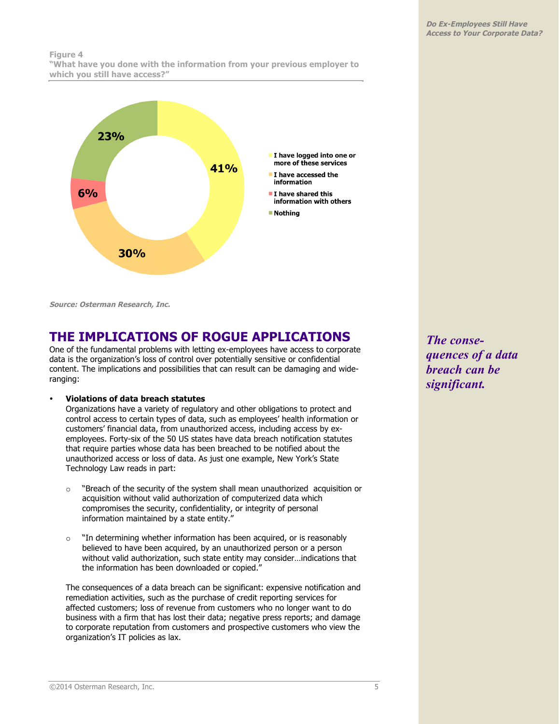#### **Figure 4 "What have you done with the information from your previous employer to which you still have access?"**



**Source: Osterman Research, Inc.**

# **THE IMPLICATIONS OF ROGUE APPLICATIONS**

One of the fundamental problems with letting ex-employees have access to corporate data is the organization's loss of control over potentially sensitive or confidential content. The implications and possibilities that can result can be damaging and wideranging:

#### • **Violations of data breach statutes**

Organizations have a variety of regulatory and other obligations to protect and control access to certain types of data, such as employees' health information or customers' financial data, from unauthorized access, including access by exemployees. Forty-six of the 50 US states have data breach notification statutes that require parties whose data has been breached to be notified about the unauthorized access or loss of data. As just one example, New York's State Technology Law reads in part:

- o "Breach of the security of the system shall mean unauthorized acquisition or acquisition without valid authorization of computerized data which compromises the security, confidentiality, or integrity of personal information maintained by a state entity."
- o "In determining whether information has been acquired, or is reasonably believed to have been acquired, by an unauthorized person or a person without valid authorization, such state entity may consider…indications that the information has been downloaded or copied."

The consequences of a data breach can be significant: expensive notification and remediation activities, such as the purchase of credit reporting services for affected customers; loss of revenue from customers who no longer want to do business with a firm that has lost their data; negative press reports; and damage to corporate reputation from customers and prospective customers who view the organization's IT policies as lax.

*The consequences of a data breach can be significant.*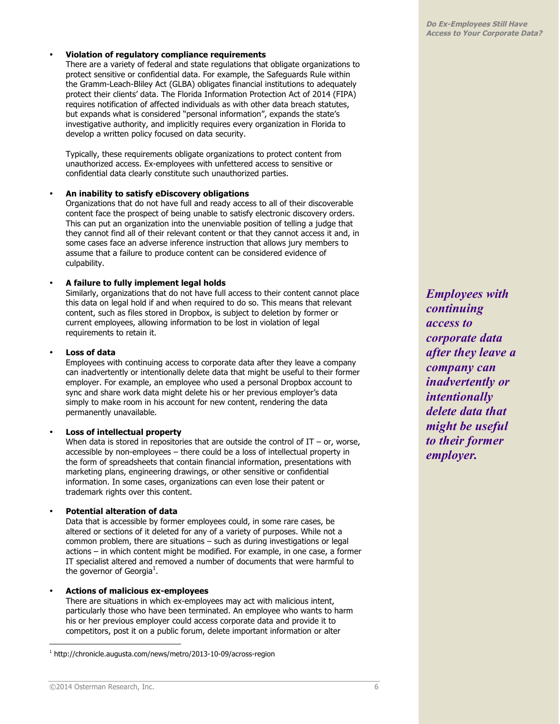#### • **Violation of regulatory compliance requirements**

There are a variety of federal and state regulations that obligate organizations to protect sensitive or confidential data. For example, the Safeguards Rule within the Gramm-Leach-Bliley Act (GLBA) obligates financial institutions to adequately protect their clients' data. The Florida Information Protection Act of 2014 (FIPA) requires notification of affected individuals as with other data breach statutes, but expands what is considered "personal information", expands the state's investigative authority, and implicitly requires every organization in Florida to develop a written policy focused on data security.

Typically, these requirements obligate organizations to protect content from unauthorized access. Ex-employees with unfettered access to sensitive or confidential data clearly constitute such unauthorized parties.

#### • **An inability to satisfy eDiscovery obligations**

Organizations that do not have full and ready access to all of their discoverable content face the prospect of being unable to satisfy electronic discovery orders. This can put an organization into the unenviable position of telling a judge that they cannot find all of their relevant content or that they cannot access it and, in some cases face an adverse inference instruction that allows jury members to assume that a failure to produce content can be considered evidence of culpability.

#### • **A failure to fully implement legal holds**

Similarly, organizations that do not have full access to their content cannot place this data on legal hold if and when required to do so. This means that relevant content, such as files stored in Dropbox, is subject to deletion by former or current employees, allowing information to be lost in violation of legal requirements to retain it.

#### • **Loss of data**

Employees with continuing access to corporate data after they leave a company can inadvertently or intentionally delete data that might be useful to their former employer. For example, an employee who used a personal Dropbox account to sync and share work data might delete his or her previous employer's data simply to make room in his account for new content, rendering the data permanently unavailable.

#### • **Loss of intellectual property**

When data is stored in repositories that are outside the control of  $IT - or$ , worse, accessible by non-employees – there could be a loss of intellectual property in the form of spreadsheets that contain financial information, presentations with marketing plans, engineering drawings, or other sensitive or confidential information. In some cases, organizations can even lose their patent or trademark rights over this content.

#### • **Potential alteration of data**

Data that is accessible by former employees could, in some rare cases, be altered or sections of it deleted for any of a variety of purposes. While not a common problem, there are situations – such as during investigations or legal actions – in which content might be modified. For example, in one case, a former IT specialist altered and removed a number of documents that were harmful to the governor of Georgia<sup>1</sup>.

#### • **Actions of malicious ex-employees**

There are situations in which ex-employees may act with malicious intent, particularly those who have been terminated. An employee who wants to harm his or her previous employer could access corporate data and provide it to competitors, post it on a public forum, delete important information or alter

*Employees with continuing access to corporate data after they leave a company can inadvertently or intentionally delete data that might be useful to their former employer.*

<sup>1</sup> http://chronicle.augusta.com/news/metro/2013-10-09/across-region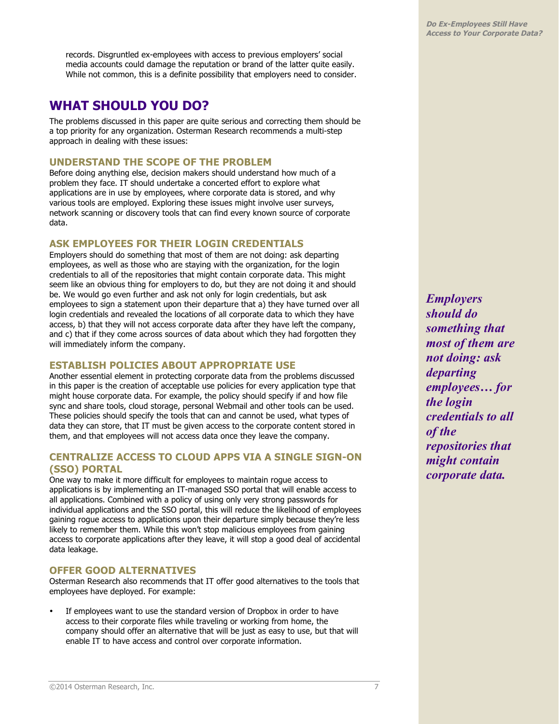records. Disgruntled ex-employees with access to previous employers' social media accounts could damage the reputation or brand of the latter quite easily. While not common, this is a definite possibility that employers need to consider.

# **WHAT SHOULD YOU DO?**

The problems discussed in this paper are quite serious and correcting them should be a top priority for any organization. Osterman Research recommends a multi-step approach in dealing with these issues:

# **UNDERSTAND THE SCOPE OF THE PROBLEM**

Before doing anything else, decision makers should understand how much of a problem they face. IT should undertake a concerted effort to explore what applications are in use by employees, where corporate data is stored, and why various tools are employed. Exploring these issues might involve user surveys, network scanning or discovery tools that can find every known source of corporate data.

# **ASK EMPLOYEES FOR THEIR LOGIN CREDENTIALS**

Employers should do something that most of them are not doing: ask departing employees, as well as those who are staying with the organization, for the login credentials to all of the repositories that might contain corporate data. This might seem like an obvious thing for employers to do, but they are not doing it and should be. We would go even further and ask not only for login credentials, but ask employees to sign a statement upon their departure that a) they have turned over all login credentials and revealed the locations of all corporate data to which they have access, b) that they will not access corporate data after they have left the company, and c) that if they come across sources of data about which they had forgotten they will immediately inform the company.

# **ESTABLISH POLICIES ABOUT APPROPRIATE USE**

Another essential element in protecting corporate data from the problems discussed in this paper is the creation of acceptable use policies for every application type that might house corporate data. For example, the policy should specify if and how file sync and share tools, cloud storage, personal Webmail and other tools can be used. These policies should specify the tools that can and cannot be used, what types of data they can store, that IT must be given access to the corporate content stored in them, and that employees will not access data once they leave the company.

# **CENTRALIZE ACCESS TO CLOUD APPS VIA A SINGLE SIGN-ON (SSO) PORTAL**

One way to make it more difficult for employees to maintain rogue access to applications is by implementing an IT-managed SSO portal that will enable access to all applications. Combined with a policy of using only very strong passwords for individual applications and the SSO portal, this will reduce the likelihood of employees gaining rogue access to applications upon their departure simply because they're less likely to remember them. While this won't stop malicious employees from gaining access to corporate applications after they leave, it will stop a good deal of accidental data leakage.

# **OFFER GOOD ALTERNATIVES**

Osterman Research also recommends that IT offer good alternatives to the tools that employees have deployed. For example:

If employees want to use the standard version of Dropbox in order to have access to their corporate files while traveling or working from home, the company should offer an alternative that will be just as easy to use, but that will enable IT to have access and control over corporate information.

*Employers should do something that most of them are not doing: ask departing employees… for the login credentials to all of the repositories that might contain corporate data.*